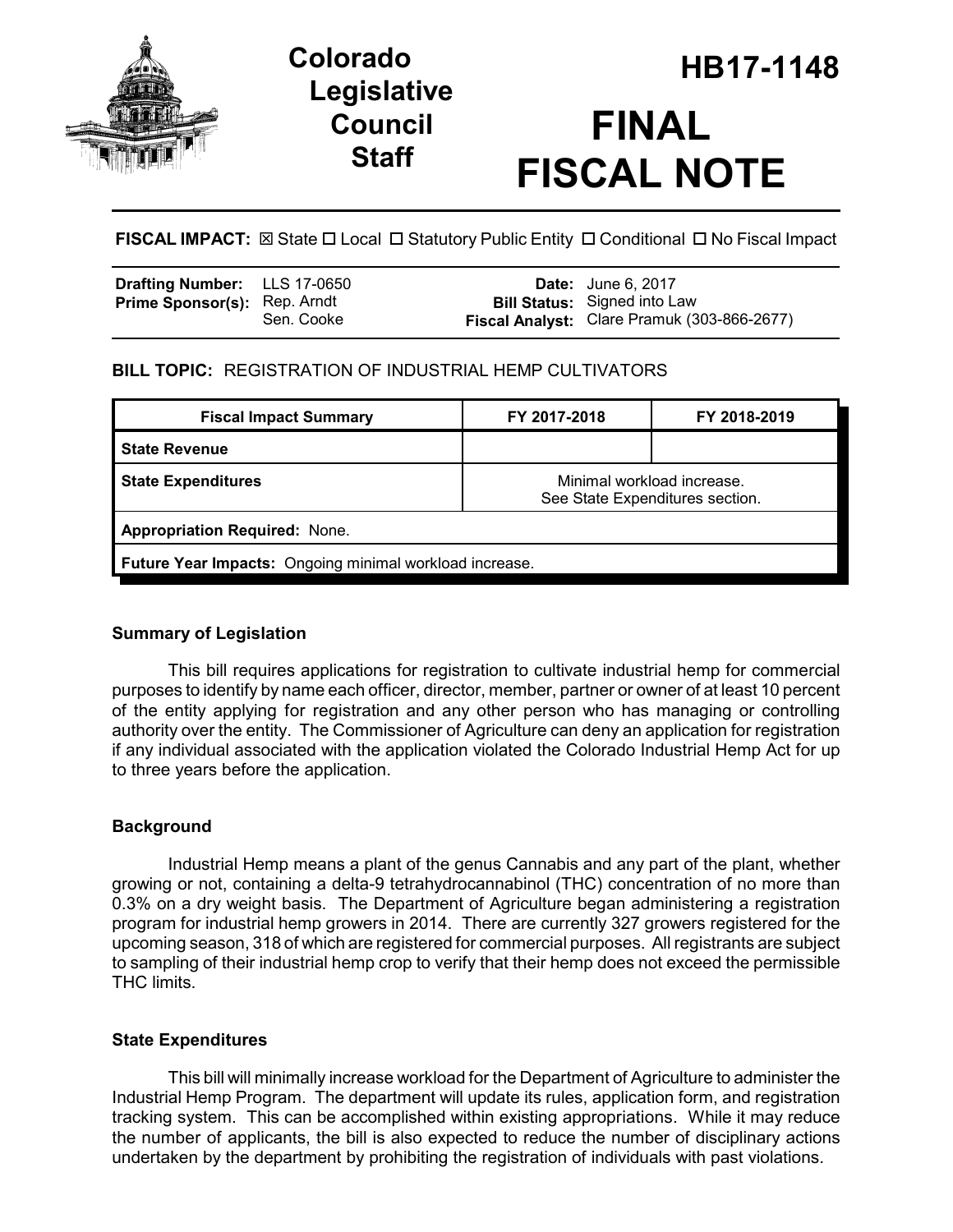

# **Legislative Council Staff**

# **HB17-1148 Colorado FINAL FISCAL NOTE**

**FISCAL IMPACT:** ⊠ State □ Local □ Statutory Public Entity □ Conditional □ No Fiscal Impact

| Drafting Number: LLS 17-0650        |            | <b>Date:</b> June 6, 2017                                                          |
|-------------------------------------|------------|------------------------------------------------------------------------------------|
| <b>Prime Sponsor(s): Rep. Arndt</b> | Sen. Cooke | <b>Bill Status:</b> Signed into Law<br>Fiscal Analyst: Clare Pramuk (303-866-2677) |

## **BILL TOPIC:** REGISTRATION OF INDUSTRIAL HEMP CULTIVATORS

| <b>Fiscal Impact Summary</b>                            | FY 2017-2018                                                  | FY 2018-2019 |  |  |  |
|---------------------------------------------------------|---------------------------------------------------------------|--------------|--|--|--|
| <b>State Revenue</b>                                    |                                                               |              |  |  |  |
| <b>State Expenditures</b>                               | Minimal workload increase.<br>See State Expenditures section. |              |  |  |  |
| <b>Appropriation Required: None.</b>                    |                                                               |              |  |  |  |
| Future Year Impacts: Ongoing minimal workload increase. |                                                               |              |  |  |  |

### **Summary of Legislation**

This bill requires applications for registration to cultivate industrial hemp for commercial purposes to identify by name each officer, director, member, partner or owner of at least 10 percent of the entity applying for registration and any other person who has managing or controlling authority over the entity. The Commissioner of Agriculture can deny an application for registration if any individual associated with the application violated the Colorado Industrial Hemp Act for up to three years before the application.

### **Background**

Industrial Hemp means a plant of the genus Cannabis and any part of the plant, whether growing or not, containing a delta-9 tetrahydrocannabinol (THC) concentration of no more than 0.3% on a dry weight basis. The Department of Agriculture began administering a registration program for industrial hemp growers in 2014. There are currently 327 growers registered for the upcoming season, 318 of which are registered for commercial purposes. All registrants are subject to sampling of their industrial hemp crop to verify that their hemp does not exceed the permissible THC limits.

### **State Expenditures**

This bill will minimally increase workload for the Department of Agriculture to administer the Industrial Hemp Program. The department will update its rules, application form, and registration tracking system. This can be accomplished within existing appropriations. While it may reduce the number of applicants, the bill is also expected to reduce the number of disciplinary actions undertaken by the department by prohibiting the registration of individuals with past violations.